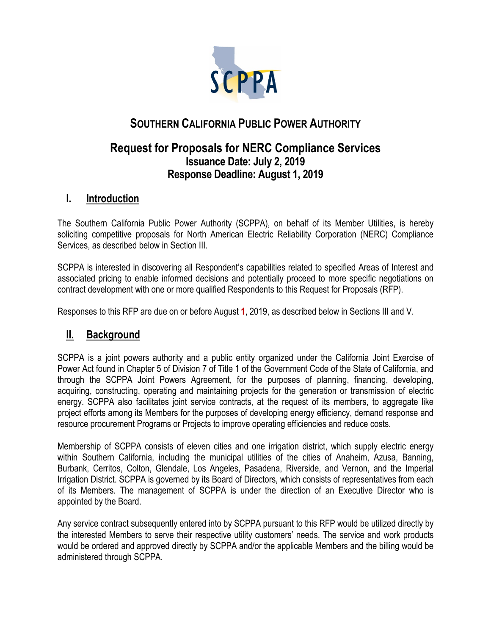

# **SOUTHERN CALIFORNIA PUBLIC POWER AUTHORITY**

## **Request for Proposals for NERC Compliance Services Issuance Date: July 2, 2019 Response Deadline: August 1, 2019**

## **I. Introduction**

The Southern California Public Power Authority (SCPPA), on behalf of its Member Utilities, is hereby soliciting competitive proposals for North American Electric Reliability Corporation (NERC) Compliance Services, as described below in Section III.

SCPPA is interested in discovering all Respondent's capabilities related to specified Areas of Interest and associated pricing to enable informed decisions and potentially proceed to more specific negotiations on contract development with one or more qualified Respondents to this Request for Proposals (RFP).

Responses to this RFP are due on or before August **1**, 2019, as described below in Sections III and V.

# **II. Background**

SCPPA is a joint powers authority and a public entity organized under the California Joint Exercise of Power Act found in Chapter 5 of Division 7 of Title 1 of the Government Code of the State of California, and through the SCPPA Joint Powers Agreement, for the purposes of planning, financing, developing, acquiring, constructing, operating and maintaining projects for the generation or transmission of electric energy. SCPPA also facilitates joint service contracts, at the request of its members, to aggregate like project efforts among its Members for the purposes of developing energy efficiency, demand response and resource procurement Programs or Projects to improve operating efficiencies and reduce costs.

Membership of SCPPA consists of eleven cities and one irrigation district, which supply electric energy within Southern California, including the municipal utilities of the cities of Anaheim, Azusa, Banning, Burbank, Cerritos, Colton, Glendale, Los Angeles, Pasadena, Riverside, and Vernon, and the Imperial Irrigation District. SCPPA is governed by its Board of Directors, which consists of representatives from each of its Members. The management of SCPPA is under the direction of an Executive Director who is appointed by the Board.

Any service contract subsequently entered into by SCPPA pursuant to this RFP would be utilized directly by the interested Members to serve their respective utility customers' needs. The service and work products would be ordered and approved directly by SCPPA and/or the applicable Members and the billing would be administered through SCPPA.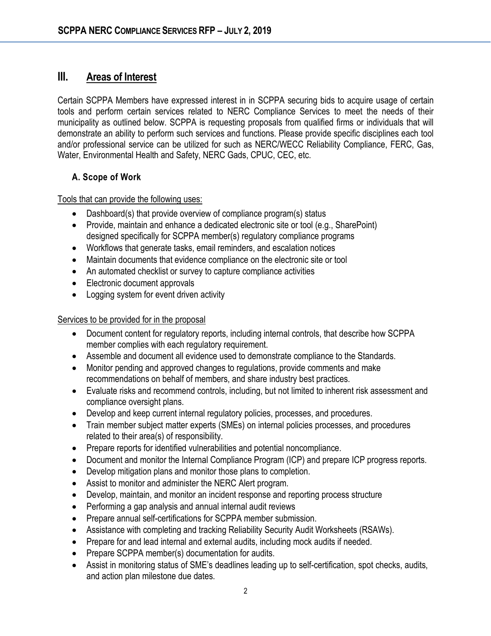## **III. Areas of Interest**

Certain SCPPA Members have expressed interest in in SCPPA securing bids to acquire usage of certain tools and perform certain services related to NERC Compliance Services to meet the needs of their municipality as outlined below. SCPPA is requesting proposals from qualified firms or individuals that will demonstrate an ability to perform such services and functions. Please provide specific disciplines each tool and/or professional service can be utilized for such as NERC/WECC Reliability Compliance, FERC, Gas, Water, Environmental Health and Safety, NERC Gads, CPUC, CEC, etc.

#### **A. Scope of Work**

Tools that can provide the following uses:

- Dashboard(s) that provide overview of compliance program(s) status
- Provide, maintain and enhance a dedicated electronic site or tool (e.g., SharePoint) designed specifically for SCPPA member(s) regulatory compliance programs
- Workflows that generate tasks, email reminders, and escalation notices
- Maintain documents that evidence compliance on the electronic site or tool
- An automated checklist or survey to capture compliance activities
- Electronic document approvals
- Logging system for event driven activity

#### Services to be provided for in the proposal

- Document content for regulatory reports, including internal controls, that describe how SCPPA member complies with each regulatory requirement.
- Assemble and document all evidence used to demonstrate compliance to the Standards.
- Monitor pending and approved changes to regulations, provide comments and make recommendations on behalf of members, and share industry best practices.
- Evaluate risks and recommend controls, including, but not limited to inherent risk assessment and compliance oversight plans.
- Develop and keep current internal regulatory policies, processes, and procedures.
- Train member subject matter experts (SMEs) on internal policies processes, and procedures related to their area(s) of responsibility.
- Prepare reports for identified vulnerabilities and potential noncompliance.
- Document and monitor the Internal Compliance Program (ICP) and prepare ICP progress reports.
- Develop mitigation plans and monitor those plans to completion.
- Assist to monitor and administer the NERC Alert program.
- Develop, maintain, and monitor an incident response and reporting process structure
- Performing a gap analysis and annual internal audit reviews
- Prepare annual self-certifications for SCPPA member submission.
- Assistance with completing and tracking Reliability Security Audit Worksheets (RSAWs).
- Prepare for and lead internal and external audits, including mock audits if needed.
- Prepare SCPPA member(s) documentation for audits.
- Assist in monitoring status of SME's deadlines leading up to self-certification, spot checks, audits, and action plan milestone due dates.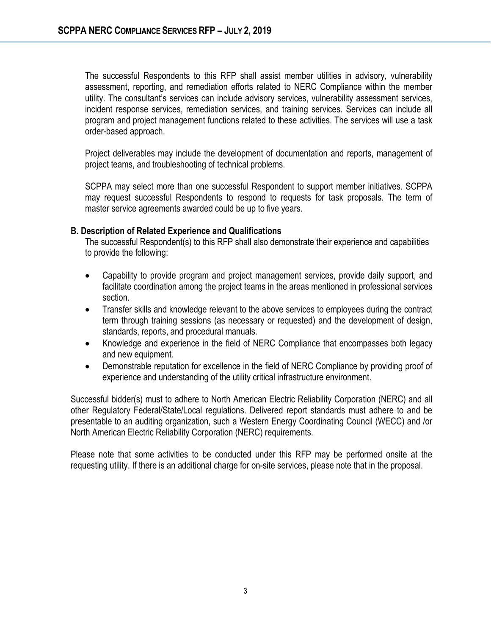The successful Respondents to this RFP shall assist member utilities in advisory, vulnerability assessment, reporting, and remediation efforts related to NERC Compliance within the member utility. The consultant's services can include advisory services, vulnerability assessment services, incident response services, remediation services, and training services. Services can include all program and project management functions related to these activities. The services will use a task order-based approach.

Project deliverables may include the development of documentation and reports, management of project teams, and troubleshooting of technical problems.

SCPPA may select more than one successful Respondent to support member initiatives. SCPPA may request successful Respondents to respond to requests for task proposals. The term of master service agreements awarded could be up to five years.

#### **B. Description of Related Experience and Qualifications**

The successful Respondent(s) to this RFP shall also demonstrate their experience and capabilities to provide the following:

- Capability to provide program and project management services, provide daily support, and facilitate coordination among the project teams in the areas mentioned in professional services section.
- Transfer skills and knowledge relevant to the above services to employees during the contract term through training sessions (as necessary or requested) and the development of design, standards, reports, and procedural manuals.
- Knowledge and experience in the field of NERC Compliance that encompasses both legacy and new equipment.
- Demonstrable reputation for excellence in the field of NERC Compliance by providing proof of experience and understanding of the utility critical infrastructure environment.

Successful bidder(s) must to adhere to North American Electric Reliability Corporation (NERC) and all other Regulatory Federal/State/Local regulations. Delivered report standards must adhere to and be presentable to an auditing organization, such a Western Energy Coordinating Council (WECC) and /or North American Electric Reliability Corporation (NERC) requirements.

Please note that some activities to be conducted under this RFP may be performed onsite at the requesting utility. If there is an additional charge for on-site services, please note that in the proposal.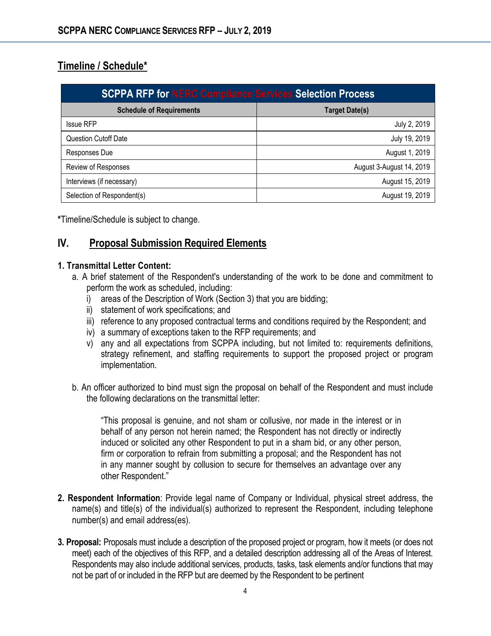# **Timeline / Schedule\***

| <b>SCPPA RFP for NERC Compliance Services Selection Process</b> |                          |
|-----------------------------------------------------------------|--------------------------|
| <b>Schedule of Requirements</b>                                 | <b>Target Date(s)</b>    |
| <b>Issue RFP</b>                                                | July 2, 2019             |
| <b>Question Cutoff Date</b>                                     | July 19, 2019            |
| Responses Due                                                   | August 1, 2019           |
| Review of Responses                                             | August 3-August 14, 2019 |
| Interviews (if necessary)                                       | August 15, 2019          |
| Selection of Respondent(s)                                      | August 19, 2019          |

**\***Timeline/Schedule is subject to change.

### **IV. Proposal Submission Required Elements**

#### **1. Transmittal Letter Content:**

- a. A brief statement of the Respondent's understanding of the work to be done and commitment to perform the work as scheduled, including:
	- i) areas of the Description of Work (Section 3) that you are bidding;
	- ii) statement of work specifications; and
	- iii) reference to any proposed contractual terms and conditions required by the Respondent; and
	- iv) a summary of exceptions taken to the RFP requirements; and
	- v) any and all expectations from SCPPA including, but not limited to: requirements definitions, strategy refinement, and staffing requirements to support the proposed project or program implementation.
- b. An officer authorized to bind must sign the proposal on behalf of the Respondent and must include the following declarations on the transmittal letter:

"This proposal is genuine, and not sham or collusive, nor made in the interest or in behalf of any person not herein named; the Respondent has not directly or indirectly induced or solicited any other Respondent to put in a sham bid, or any other person, firm or corporation to refrain from submitting a proposal; and the Respondent has not in any manner sought by collusion to secure for themselves an advantage over any other Respondent."

- **2. Respondent Information**: Provide legal name of Company or Individual, physical street address, the name(s) and title(s) of the individual(s) authorized to represent the Respondent, including telephone number(s) and email address(es).
- **3. Proposal:** Proposals must include a description of the proposed project or program, how it meets (or does not meet) each of the objectives of this RFP, and a detailed description addressing all of the Areas of Interest. Respondents may also include additional services, products, tasks, task elements and/or functions that may not be part of or included in the RFP but are deemed by the Respondent to be pertinent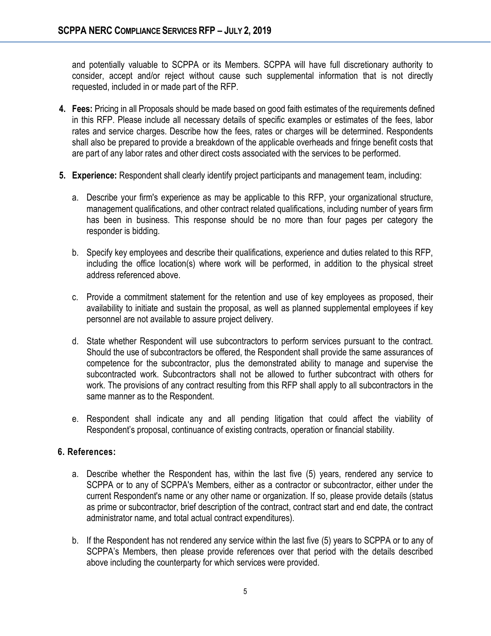and potentially valuable to SCPPA or its Members. SCPPA will have full discretionary authority to consider, accept and/or reject without cause such supplemental information that is not directly requested, included in or made part of the RFP.

- **4. Fees:** Pricing in all Proposals should be made based on good faith estimates of the requirements defined in this RFP. Please include all necessary details of specific examples or estimates of the fees, labor rates and service charges. Describe how the fees, rates or charges will be determined. Respondents shall also be prepared to provide a breakdown of the applicable overheads and fringe benefit costs that are part of any labor rates and other direct costs associated with the services to be performed.
- **5. Experience:** Respondent shall clearly identify project participants and management team, including:
	- a. Describe your firm's experience as may be applicable to this RFP, your organizational structure, management qualifications, and other contract related qualifications, including number of years firm has been in business. This response should be no more than four pages per category the responder is bidding.
	- b. Specify key employees and describe their qualifications, experience and duties related to this RFP, including the office location(s) where work will be performed, in addition to the physical street address referenced above.
	- c. Provide a commitment statement for the retention and use of key employees as proposed, their availability to initiate and sustain the proposal, as well as planned supplemental employees if key personnel are not available to assure project delivery.
	- d. State whether Respondent will use subcontractors to perform services pursuant to the contract. Should the use of subcontractors be offered, the Respondent shall provide the same assurances of competence for the subcontractor, plus the demonstrated ability to manage and supervise the subcontracted work. Subcontractors shall not be allowed to further subcontract with others for work. The provisions of any contract resulting from this RFP shall apply to all subcontractors in the same manner as to the Respondent.
	- e. Respondent shall indicate any and all pending litigation that could affect the viability of Respondent's proposal, continuance of existing contracts, operation or financial stability.

#### **6. References:**

- a. Describe whether the Respondent has, within the last five (5) years, rendered any service to SCPPA or to any of SCPPA's Members, either as a contractor or subcontractor, either under the current Respondent's name or any other name or organization. If so, please provide details (status as prime or subcontractor, brief description of the contract, contract start and end date, the contract administrator name, and total actual contract expenditures).
- b. If the Respondent has not rendered any service within the last five (5) years to SCPPA or to any of SCPPA's Members, then please provide references over that period with the details described above including the counterparty for which services were provided.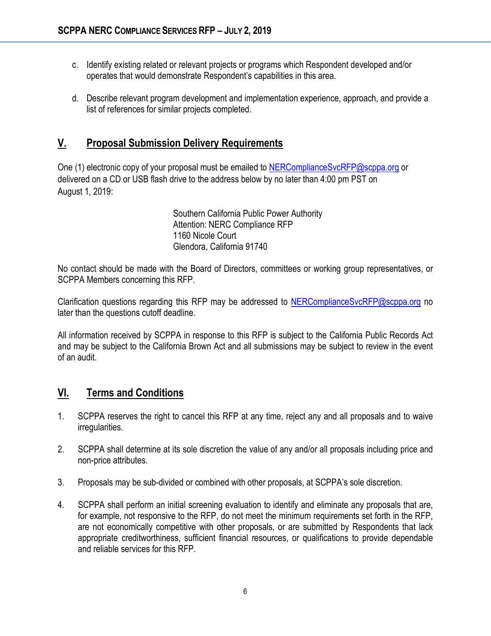- c. Identify existing related or relevant projects or programs which Respondent developed and/or operates that would demonstrate Respondent's capabilities in this area.
- d. Describe relevant program development and implementation experience, approach, and provide a list of references for similar projects completed.

### **V. Proposal Submission Delivery Requirements**

One (1) electronic copy of your proposal must be emailed to [NERComplianceSvcRFP@scppa.org](mailto:NERComplianceSvcRFP@scppa.org) or delivered on a CD or USB flash drive to the address below by no later than 4:00 pm PST on August 1, 2019:

> Southern California Public Power Authority Attention: NERC Compliance RFP 1160 Nicole Court Glendora, California 91740

No contact should be made with the Board of Directors, committees or working group representatives, or SCPPA Members concerning this RFP.

Clarification questions regarding this RFP may be addressed to [NERComplianceSvcRFP@scppa.org](mailto:NERComplianceSvcRFP@scppa.org) no later than the questions cutoff deadline.

All information received by SCPPA in response to this RFP is subject to the California Public Records Act and may be subject to the California Brown Act and all submissions may be subject to review in the event of an audit.

## **VI. Terms and Conditions**

- 1. SCPPA reserves the right to cancel this RFP at any time, reject any and all proposals and to waive irregularities.
- 2. SCPPA shall determine at its sole discretion the value of any and/or all proposals including price and non-price attributes.
- 3. Proposals may be sub-divided or combined with other proposals, at SCPPA's sole discretion.
- 4. SCPPA shall perform an initial screening evaluation to identify and eliminate any proposals that are, for example, not responsive to the RFP, do not meet the minimum requirements set forth in the RFP, are not economically competitive with other proposals, or are submitted by Respondents that lack appropriate creditworthiness, sufficient financial resources, or qualifications to provide dependable and reliable services for this RFP.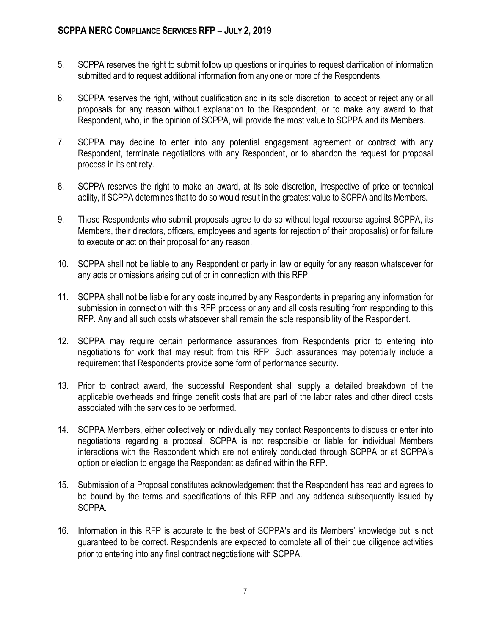- 5. SCPPA reserves the right to submit follow up questions or inquiries to request clarification of information submitted and to request additional information from any one or more of the Respondents.
- 6. SCPPA reserves the right, without qualification and in its sole discretion, to accept or reject any or all proposals for any reason without explanation to the Respondent, or to make any award to that Respondent, who, in the opinion of SCPPA, will provide the most value to SCPPA and its Members.
- 7. SCPPA may decline to enter into any potential engagement agreement or contract with any Respondent, terminate negotiations with any Respondent, or to abandon the request for proposal process in its entirety.
- 8. SCPPA reserves the right to make an award, at its sole discretion, irrespective of price or technical ability, if SCPPA determines that to do so would result in the greatest value to SCPPA and its Members.
- 9. Those Respondents who submit proposals agree to do so without legal recourse against SCPPA, its Members, their directors, officers, employees and agents for rejection of their proposal(s) or for failure to execute or act on their proposal for any reason.
- 10. SCPPA shall not be liable to any Respondent or party in law or equity for any reason whatsoever for any acts or omissions arising out of or in connection with this RFP.
- 11. SCPPA shall not be liable for any costs incurred by any Respondents in preparing any information for submission in connection with this RFP process or any and all costs resulting from responding to this RFP. Any and all such costs whatsoever shall remain the sole responsibility of the Respondent.
- 12. SCPPA may require certain performance assurances from Respondents prior to entering into negotiations for work that may result from this RFP. Such assurances may potentially include a requirement that Respondents provide some form of performance security.
- 13. Prior to contract award, the successful Respondent shall supply a detailed breakdown of the applicable overheads and fringe benefit costs that are part of the labor rates and other direct costs associated with the services to be performed.
- 14. SCPPA Members, either collectively or individually may contact Respondents to discuss or enter into negotiations regarding a proposal. SCPPA is not responsible or liable for individual Members interactions with the Respondent which are not entirely conducted through SCPPA or at SCPPA's option or election to engage the Respondent as defined within the RFP.
- 15. Submission of a Proposal constitutes acknowledgement that the Respondent has read and agrees to be bound by the terms and specifications of this RFP and any addenda subsequently issued by SCPPA.
- 16. Information in this RFP is accurate to the best of SCPPA's and its Members' knowledge but is not guaranteed to be correct. Respondents are expected to complete all of their due diligence activities prior to entering into any final contract negotiations with SCPPA.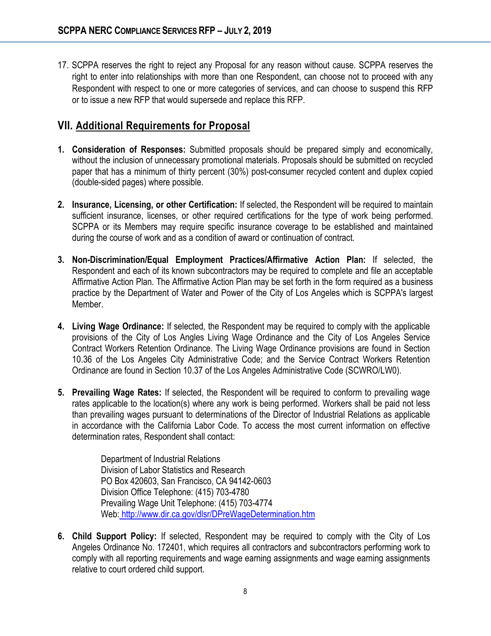17. SCPPA reserves the right to reject any Proposal for any reason without cause. SCPPA reserves the right to enter into relationships with more than one Respondent, can choose not to proceed with any Respondent with respect to one or more categories of services, and can choose to suspend this RFP or to issue a new RFP that would supersede and replace this RFP.

### **VII. Additional Requirements for Proposal**

- **1. Consideration of Responses:** Submitted proposals should be prepared simply and economically, without the inclusion of unnecessary promotional materials. Proposals should be submitted on recycled paper that has a minimum of thirty percent (30%) post-consumer recycled content and duplex copied (double-sided pages) where possible.
- **2. Insurance, Licensing, or other Certification:** If selected, the Respondent will be required to maintain sufficient insurance, licenses, or other required certifications for the type of work being performed. SCPPA or its Members may require specific insurance coverage to be established and maintained during the course of work and as a condition of award or continuation of contract.
- **3. Non-Discrimination/Equal Employment Practices/Affirmative Action Plan:** If selected, the Respondent and each of its known subcontractors may be required to complete and file an acceptable Affirmative Action Plan. The Affirmative Action Plan may be set forth in the form required as a business practice by the Department of Water and Power of the City of Los Angeles which is SCPPA's largest Member.
- **4. Living Wage Ordinance:** If selected, the Respondent may be required to comply with the applicable provisions of the City of Los Angles Living Wage Ordinance and the City of Los Angeles Service Contract Workers Retention Ordinance. The Living Wage Ordinance provisions are found in Section 10.36 of the Los Angeles City Administrative Code; and the Service Contract Workers Retention Ordinance are found in Section 10.37 of the Los Angeles Administrative Code (SCWRO/LW0).
- **5. Prevailing Wage Rates:** If selected, the Respondent will be required to conform to prevailing wage rates applicable to the location(s) where any work is being performed. Workers shall be paid not less than prevailing wages pursuant to determinations of the Director of Industrial Relations as applicable in accordance with the California Labor Code. To access the most current information on effective determination rates, Respondent shall contact:

Department of Industrial Relations Division of Labor Statistics and Research PO Box 420603, San Francisco, CA 94142-0603 Division Office Telephone: (415) 703-4780 Prevailing Wage Unit Telephone: (415) 703-4774 Web: <http://www.dir.ca.gov/dlsr/DPreWageDetermination.htm>

**6. Child Support Policy:** If selected, Respondent may be required to comply with the City of Los Angeles Ordinance No. 172401, which requires all contractors and subcontractors performing work to comply with all reporting requirements and wage earning assignments and wage earning assignments relative to court ordered child support.